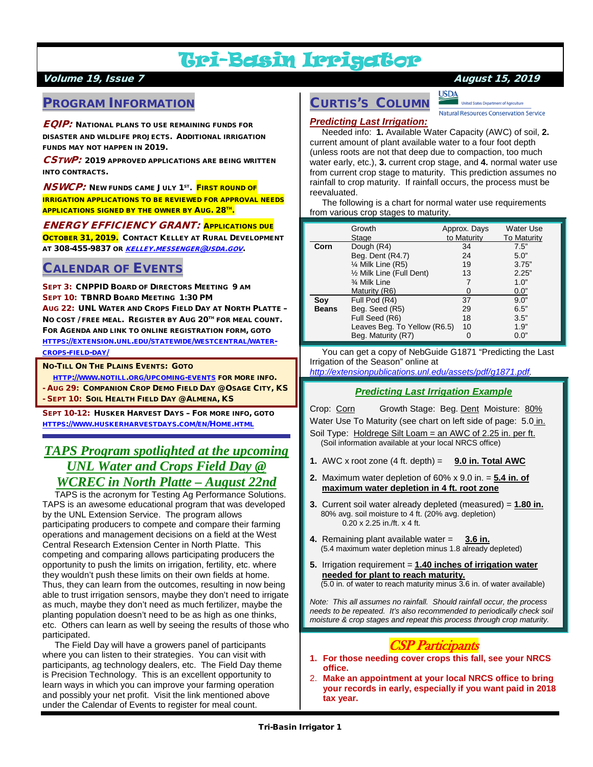# Tri-Basin Irrigator

### Volume 19, Issue 7 August 15, 2019

## PROGRAM INFORMATION

 $\pmb{\mathit{EQIP:}}$  National plans to use remaining funds for DISASTER AND WILDLIFE PROJECTS. ADDITIONAL IRRIGATION FUNDS MAY NOT HAPPEN IN 2019.

CSTWP: 2019 APPROVED APPLICATIONS ARE BEING WRITTEN INTO CONTRACTS.

**NSWCP:** NEW FUNDS CAME JULY 1<sup>ST</sup>. FIRST ROUND OF IRRIGATION APPLICATIONS TO BE REVIEWED FOR APPROVAL NEEDS **APPLICATIONS SIGNED BY THE OWNER BY AUG. 28TH.** 

#### ENERGY EFFICIENCY GRANT: APPLICATIONS DUE

OCTOBER 31, 2019. CONTACT KELLEY AT RURAL DEVELOPMENT AT 308-455-9837 OR [KELLEY.MESSENGER@USDA.GOV](mailto:kelley.messenger@usda.gov).

## CALENDAR OF EVENTS

SEPT 3: CNPPID BOARD OF DIRECTORS MEETING 9 AM SEPT 10: TBNRD BOARD MEETING 1:30 PM AUG 22: UNL WATER AND CROPS FIELD DAY AT NORTH PLATTE – NO COST / FREE MEAL. REGISTER BY AUG 20TH FOR MEAL COUNT. FOR AGENDA AND LINK TO ONLINE REGISTRATION FORM, GOTO [HTTPS://EXTENSION.UNL.EDU/STATEWIDE/WESTCENTRAL/WATER-](https://extension.unl.edu/statewide/westcentral/water-crops-field-day/)[CROPS-FIELD-DAY/](https://extension.unl.edu/statewide/westcentral/water-crops-field-day/)

NO-TILL ON THE PLAINS EVENTS: GOTO

 [HTTP://WWW.NOTILL.ORG/UPCOMING-EVENTS](http://www.notill.org/upcoming-events) FOR MORE INFO. - AUG 29: COMPANION CROP DEMO FIELD DAY @ OSAGE CITY, KS - SEPT 10: SOIL HEALTH FIELD DAY @ ALMENA, KS

SEPT 10-12: HUSKER HARVEST DAYS – FOR MORE INFO, GOTO [HTTPS://WWW.HUSKERHARVESTDAYS.COM/EN/HOME.HTML](https://www.huskerharvestdays.com/en/Home.html)

# *TAPS Program spotlighted at the upcoming UNL Water and Crops Field Day @ WCREC in North Platte – August 22nd*

 TAPS is the acronym for Testing Ag Performance Solutions. TAPS is an awesome educational program that was developed by the UNL Extension Service. The program allows participating producers to compete and compare their farming operations and management decisions on a field at the West Central Research Extension Center in North Platte. This competing and comparing allows participating producers the opportunity to push the limits on irrigation, fertility, etc. where they wouldn't push these limits on their own fields at home. Thus, they can learn from the outcomes, resulting in now being able to trust irrigation sensors, maybe they don't need to irrigate as much, maybe they don't need as much fertilizer, maybe the planting population doesn't need to be as high as one thinks, etc. Others can learn as well by seeing the results of those who participated.

 The Field Day will have a growers panel of participants where you can listen to their strategies. You can visit with participants, ag technology dealers, etc. The Field Day theme is Precision Technology. This is an excellent opportunity to learn ways in which you can improve your farming operation and possibly your net profit. Visit the link mentioned above under the Calendar of Events to register for meal count.

# **USDA**

**United States Depart** nt of Agriculture **Natural Resources Conservation Service** 

# CURTIS'S COLUMN *Predicting Last Irrigation:*

 Needed info: **1.** Available Water Capacity (AWC) of soil, **2.** current amount of plant available water to a four foot depth (unless roots are not that deep due to compaction, too much water early, etc.), **3.** current crop stage, and **4.** normal water use from current crop stage to maturity. This prediction assumes no rainfall to crop maturity. If rainfall occurs, the process must be reevaluated.

 The following is a chart for normal water use requirements from various crop stages to maturity.

|              | Growth                       | Approx. Days | <b>Water Use</b>   |
|--------------|------------------------------|--------------|--------------------|
|              | Stage                        | to Maturity  | <b>To Maturity</b> |
| Corn         | Dough (R4)                   | 34           | 7.5"               |
|              | Beg. Dent (R4.7)             | 24           | 5.0"               |
|              | $\frac{1}{4}$ Milk Line (R5) | 19           | 3.75"              |
|              | 1/2 Milk Line (Full Dent)    | 13           | 2.25"              |
|              | 3⁄4 Milk Line                |              | 1.0"               |
|              | Maturity (R6)                |              | 0.0"               |
| Soy          | Full Pod (R4)                | 37           | 9.0"               |
| <b>Beans</b> | Beg. Seed (R5)               | 29           | 6.5"               |
|              | Full Seed (R6)               | 18           | 3.5"               |
|              | Leaves Beg. To Yellow (R6.5) | 10           | 1.9"               |
|              | Beg. Maturity (R7)           | 0            | 0.0"               |

 You can get a copy of NebGuide G1871 "Predicting the Last Irrigation of the Season" online at

#### *[http://extensionpublications.unl.edu/assets/pdf/g1871.pdf.](http://extensionpublications.unl.edu/assets/pdf/g1871.pdf)*

#### *Predicting Last Irrigation Example*

Crop: Corn Growth Stage: Beg. Dent Moisture: 80% Water Use To Maturity (see chart on left side of page: 5.0 in. Soil Type: Holdrege Silt Loam = an AWC of 2.25 in. per ft. (Soil information available at your local NRCS office)

- **1.** AWC x root zone  $(4 \text{ ft. depth}) = 9.0 \text{ in. Total AWC}$
- **2.** Maximum water depletion of 60% x 9.0 in. = **5.4 in. of maximum water depletion in 4 ft. root zone**
- **3.** Current soil water already depleted (measured) = **1.80 in.** 80% avg. soil moisture to 4 ft. (20% avg. depletion) 0.20 x 2.25 in./ft. x 4 ft.
- **4.** Remaining plant available water = **3.6 in.** (5.4 maximum water depletion minus 1.8 already depleted)
- **5.** Irrigation requirement = **1.40 inches of irrigation water needed for plant to reach maturity.** (5.0 in. of water to reach maturity minus 3.6 in. of water available)

*Note: This all assumes no rainfall. Should rainfall occur, the process needs to be repeated. It's also recommended to periodically check soil moisture & crop stages and repeat this process through crop maturity.*

## CSP Participants

- **1. For those needing cover crops this fall, see your NRCS office.**
- 2. **Make an appointment at your local NRCS office to bring your records in early, especially if you want paid in 2018 tax year.**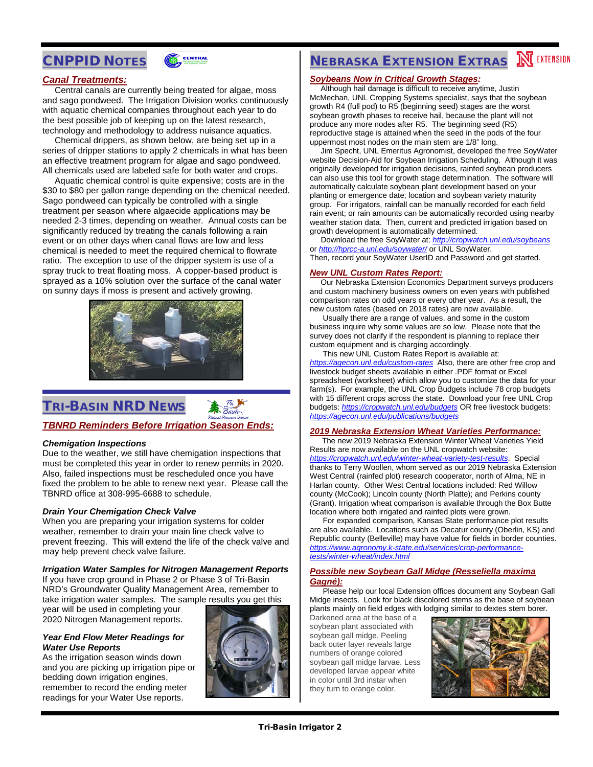# CNPPID NOTES



#### *Canal Treatments:*

 Central canals are currently being treated for algae, moss and sago pondweed. The Irrigation Division works continuously with aquatic chemical companies throughout each year to do the best possible job of keeping up on the latest research, technology and methodology to address nuisance aquatics.

 Chemical drippers, as shown below, are being set up in a series of dripper stations to apply 2 chemicals in what has been an effective treatment program for algae and sago pondweed. All chemicals used are labeled safe for both water and crops.

 Aquatic chemical control is quite expensive; costs are in the \$30 to \$80 per gallon range depending on the chemical needed. Sago pondweed can typically be controlled with a single treatment per season where algaecide applications may be needed 2-3 times, depending on weather. Annual costs can be significantly reduced by treating the canals following a rain event or on other days when canal flows are low and less chemical is needed to meet the required chemical to flowrate ratio. The exception to use of the dripper system is use of a spray truck to treat floating moss. A copper-based product is sprayed as a 10% solution over the surface of the canal water on sunny days if moss is present and actively growing.



# TRI-BASIN NRD NEWS



#### *TBNRD Reminders Before Irrigation Season Ends:*

#### *Chemigation Inspections*

Due to the weather, we still have chemigation inspections that must be completed this year in order to renew permits in 2020. Also, failed inspections must be rescheduled once you have fixed the problem to be able to renew next year. Please call the TBNRD office at 308-995-6688 to schedule.

#### *Drain Your Chemigation Check Valve*

When you are preparing your irrigation systems for colder weather, remember to drain your main line check valve to prevent freezing. This will extend the life of the check valve and may help prevent check valve failure.

#### *Irrigation Water Samples for Nitrogen Management Reports*

If you have crop ground in Phase 2 or Phase 3 of Tri-Basin NRD's Groundwater Quality Management Area, remember to take irrigation water samples. The sample results you get this

year will be used in completing your 2020 Nitrogen Management reports.

#### *Year End Flow Meter Readings for Water Use Reports*

As the irrigation season winds down and you are picking up irrigation pipe or bedding down irrigation engines, remember to record the ending meter readings for your Water Use reports.



# **NEBRASKA EXTENSION EXTRAS MEXTENSION**

#### *Soybeans Now in Critical Growth Stages:*

 Although hail damage is difficult to receive anytime, Justin McMechan, UNL Cropping Systems specialist, says that the soybean growth R4 (full pod) to R5 (beginning seed) stages are the worst soybean growth phases to receive hail, because the plant will not produce any more nodes after R5. The beginning seed (R5) reproductive stage is attained when the seed in the pods of the four uppermost most nodes on the main stem are 1/8" long.

 Jim Specht, UNL Emeritus Agronomist, developed the free SoyWater website Decision-Aid for Soybean Irrigation Scheduling. Although it was originally developed for irrigation decisions, rainfed soybean producers can also use this tool for growth stage determination. The software will automatically calculate soybean plant development based on your planting or emergence date; location and soybean variety maturity group. For irrigators, rainfall can be manually recorded for each field rain event; or rain amounts can be automatically recorded using nearby weather station data. Then, current and predicted irrigation based on growth development is automatically determined.

 Download the free SoyWater at: *<http://cropwatch.unl.edu/soybeans>* or *[http://hprcc-a.unl.edu/soywater/](http://hprcc-agron0.unl.edu/soywater/)* or UNL SoyWater. Then, record your SoyWater UserID and Password and get started.

#### *New UNL Custom Rates Report:*

 Our Nebraska Extension Economics Department surveys producers and custom machinery business owners on even years with published comparison rates on odd years or every other year. As a result, the new custom rates (based on 2018 rates) are now available.

 Usually there are a range of values, and some in the custom business inquire why some values are so low. Please note that the survey does not clarify if the respondent is planning to replace their custom equipment and is charging accordingly.

 This new UNL Custom Rates Report is available at: *<https://agecon.unl.edu/custom-rates>* Also, there are other free crop and livestock budget sheets available in either .PDF format or Excel spreadsheet (worksheet) which allow you to customize the data for your farm(s). For example, the UNL Crop Budgets include 78 crop budgets with 15 different crops across the state. Download your free UNL Crop budgets: *<https://cropwatch.unl.edu/budgets>* OR free livestock budgets: *<https://agecon.unl.edu/publications/budgets>*

#### *2019 Nebraska Extension Wheat Varieties Performance:*

 The new 2019 Nebraska Extension Winter Wheat Varieties Yield Results are now available on the UNL cropwatch website: *<https://cropwatch.unl.edu/winter-wheat-variety-test-results>*. Special thanks to Terry Woollen, whom served as our 2019 Nebraska Extension West Central (rainfed plot) research cooperator, north of Alma, NE in Harlan county. Other West Central locations included: Red Willow county (McCook); Lincoln county (North Platte); and Perkins county (Grant). Irrigation wheat comparison is available through the Box Butte location where both irrigated and rainfed plots were grown.

 For expanded comparison, Kansas State performance plot results are also available. Locations such as Decatur county (Oberlin, KS) and Republic county (Belleville) may have value for fields in border counties. *[https://www.agronomy.k-state.edu/services/crop-performance](https://www.agronomy.k-state.edu/services/crop-performance-tests/winter-wheat/index.html)[tests/winter-wheat/index.html](https://www.agronomy.k-state.edu/services/crop-performance-tests/winter-wheat/index.html)*

#### *Possible new Soybean Gall Midge (Resseliella maxima Gagné):*

 Please help our local Extension offices document any Soybean Gall Midge insects. Look for black discolored stems as the base of soybean plants mainly on field edges with lodging similar to dextes stem borer.

Darkened area at the base of a soybean plant associated with soybean gall midge. Peeling back outer layer reveals large numbers of orange colored soybean gall midge larvae. Less developed larvae appear white in color until 3rd instar when they turn to orange color.

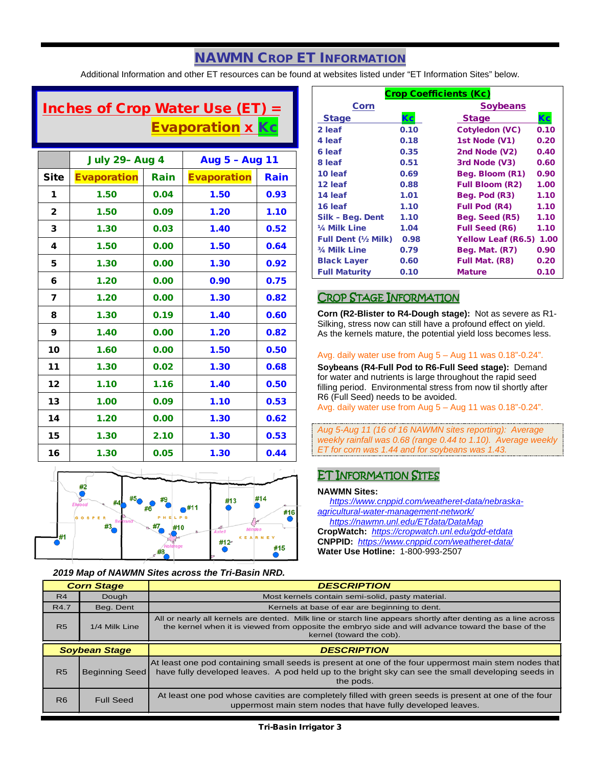# NAWMN CROP ET INFORMATION

Additional Information and other ET resources can be found at websites listed under "ET Information Sites" below.

# Inches of Crop Water Use  $(ET) =$ **Evaporation x Kc**

|                         | <b>July 29- Aug 4</b> |      | Aug 5 - Aug 11     |      |
|-------------------------|-----------------------|------|--------------------|------|
| <b>Site</b>             | <b>Evaporation</b>    | Rain | <b>Evaporation</b> | Rain |
| 1                       | 1.50                  | 0.04 | 1.50               | 0.93 |
| $\mathbf{2}$            | 1.50                  | 0.09 | 1.20               | 1.10 |
| 3                       | 1.30                  | 0.03 | 1.40               | 0.52 |
| 4                       | 1.50                  | 0.00 | 1.50               | 0.64 |
| 5                       | 1.30                  | 0.00 | 1.30               | 0.92 |
| 6                       | 1.20                  | 0.00 | 0.90               | 0.75 |
| $\overline{\mathbf{z}}$ | 1.20                  | 0.00 | 1.30               | 0.82 |
| 8                       | 1.30                  | 0.19 | 1.40               | 0.60 |
| 9                       | 1.40                  | 0.00 | 1.20               | 0.82 |
| 10                      | 1.60                  | 0.00 | 1.50               | 0.50 |
| 11                      | 1.30                  | 0.02 | 1.30               | 0.68 |
| 12                      | 1.10                  | 1.16 | 1.40               | 0.50 |
| 13                      | 1.00                  | 0.09 | 1.10               | 0.53 |
| 14                      | 1.20                  | 0.00 | 1.30               | 0.62 |
| 15                      | 1.30                  | 2.10 | 1.30               | 0.53 |
| 16                      | 1.30                  | 0.05 | 1.30               | 0.44 |



#### *2019 Map of NAWMN Sites across the Tri-Basin NRD.*

| <b>Crop Coefficients (Kc)</b> |      |                           |      |  |
|-------------------------------|------|---------------------------|------|--|
| Corn                          |      | <b>Soybeans</b>           |      |  |
| <b>Stage</b>                  | Kc   | <b>Stage</b>              | Кc   |  |
| 2 leaf                        | 0.10 | Cotyledon (VC)            | 0.10 |  |
| 4 leaf                        | 0.18 | 1st Node (V1)             | 0.20 |  |
| 6 leaf                        | 0.35 | 2nd Node (V2)             | 0.40 |  |
| 8 leaf                        | 0.51 | 3rd Node (V3)             | 0.60 |  |
| 10 leaf                       | 0.69 | Beg. Bloom (R1)           | 0.90 |  |
| 12 leaf                       | 0.88 | <b>Full Bloom (R2)</b>    | 1.00 |  |
| 14 leaf                       | 1.01 | Beg. Pod (R3)             | 1.10 |  |
| 16 leaf                       | 1.10 | <b>Full Pod (R4)</b>      | 1.10 |  |
| Silk - Beg. Dent              | 1.10 | Beg. Seed (R5)            | 1.10 |  |
| 1/4 Milk Line                 | 1.04 | <b>Full Seed (R6)</b>     | 1.10 |  |
| <b>Full Dent (1/2 Milk)</b>   | 0.98 | <b>Yellow Leaf (R6.5)</b> | 1.00 |  |
| 3/4 Milk Line                 | 0.79 | Beg. Mat. (R7)            | 0.90 |  |
| <b>Black Layer</b>            | 0.60 | Full Mat. (R8)            | 0.20 |  |
| <b>Full Maturity</b>          | 0.10 | <b>Mature</b>             | 0.10 |  |

### CROP STAGE INFORMATION

**Corn (R2-Blister to R4-Dough stage):** Not as severe as R1- Silking, stress now can still have a profound effect on yield. As the kernels mature, the potential yield loss becomes less.

#### Avg. daily water use from Aug 5 – Aug 11 was 0.18"-0.24".

**Soybeans (R4-Full Pod to R6-Full Seed stage):** Demand for water and nutrients is large throughout the rapid seed filling period. Environmental stress from now til shortly after R6 (Full Seed) needs to be avoided.

Avg. daily water use from Aug 5 – Aug 11 was 0.18"-0.24".

*Aug 5-Aug 11 (16 of 16 NAWMN sites reporting): Average weekly rainfall was 0.68 (range 0.44 to 1.10). Average weekly ET for corn was 1.44 and for soybeans was 1.43.*

## ET INFORMATION SITES

#### **NAWMN Sites:**

 *[https://www.cnppid.com/weatheret-data/nebraska](https://www.cnppid.com/weatheret-data/nebraska-agricultural-water-management-network/)[agricultural-water-management-network/](https://www.cnppid.com/weatheret-data/nebraska-agricultural-water-management-network/) <https://nawmn.unl.edu/ETdata/DataMap>* **CropWatch:** *<https://cropwatch.unl.edu/gdd-etdata>* **CNPPID:** *<https://www.cnppid.com/weatheret-data/>*

**Water Use Hotline:** 1-800-993-2507

| <b>Corn Stage</b>    |                       | <b>DESCRIPTION</b>                                                                                                                                                                                                                              |
|----------------------|-----------------------|-------------------------------------------------------------------------------------------------------------------------------------------------------------------------------------------------------------------------------------------------|
| R4                   | Dough                 | Most kernels contain semi-solid, pasty material.                                                                                                                                                                                                |
| R4.7                 | Beg. Dent             | Kernels at base of ear are beginning to dent.                                                                                                                                                                                                   |
| <b>R5</b>            | 1/4 Milk Line         | All or nearly all kernels are dented. Milk line or starch line appears shortly after denting as a line across<br>the kernel when it is viewed from opposite the embryo side and will advance toward the base of the<br>kernel (toward the cob). |
| <b>Soybean Stage</b> |                       |                                                                                                                                                                                                                                                 |
|                      |                       | <b>DESCRIPTION</b>                                                                                                                                                                                                                              |
| R <sub>5</sub>       | <b>Beginning Seed</b> | At least one pod containing small seeds is present at one of the four uppermost main stem nodes that<br>have fully developed leaves. A pod held up to the bright sky can see the small developing seeds in<br>the pods.                         |